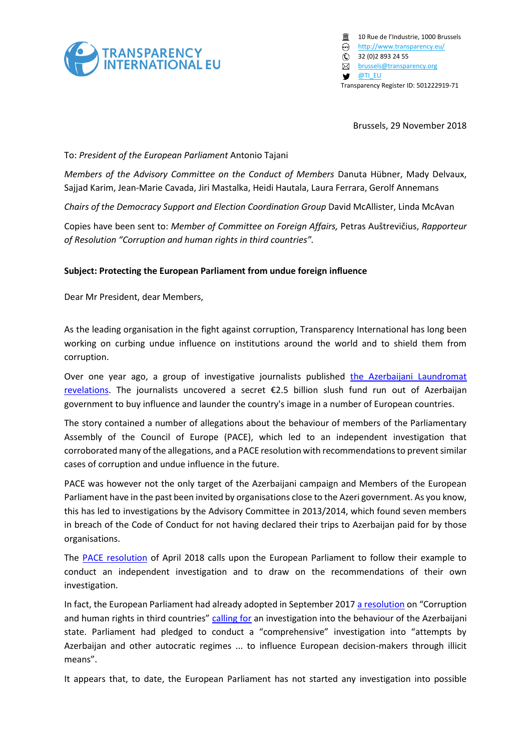

 $\overline{a}$  10 Rue de l'Industrie, 1000 Brussels <http://www.transparency.eu/> 32 (0)2 893 24 55 **B** [brussels@transparency.org](mailto:brussels@transparency.org) **S [@TI\\_EU](http://twitter.com/ti_eu)** Transparency Register ID: 501222919-71

Brussels, 29 November 2018

## To: *President of the European Parliament* Antonio Tajani

*Members of the Advisory Committee on the Conduct of Members* Danuta Hübner, Mady Delvaux, Sajjad Karim, Jean-Marie Cavada, Jiri Mastalka, Heidi Hautala, Laura Ferrara, Gerolf Annemans

*Chairs of the Democracy Support and Election Coordination Group* David McAllister, Linda McAvan

Copies have been sent to: *Member of Committee on Foreign Affairs,* Petras Auštrevičius, *Rapporteur of Resolution "Corruption and human rights in third countries".*

## **Subject: Protecting the European Parliament from undue foreign influence**

Dear Mr President, dear Members,

As the leading organisation in the fight against corruption, Transparency International has long been working on curbing undue influence on institutions around the world and to shield them from corruption.

Over one year ago, a group of investigative journalists published the Azerbaijani Laundromat [revelations](https://www.occrp.org/en/azerbaijanilaundromat/the-influence-machine). The journalists uncovered a secret €2.5 billion slush fund run out of Azerbaijan government to buy influence and launder the country's image in a number of European countries.

The story contained a number of allegations about the behaviour of members of the Parliamentary Assembly of the Council of Europe (PACE), which led to an independent investigation that corroborated many of the allegations, and a PACE resolution with recommendations to prevent similar cases of corruption and undue influence in the future.

PACE was however not the only target of the Azerbaijani campaign and Members of the European Parliament have in the past been invited by organisations close to the Azeri government. As you know, this has led to investigations by the Advisory Committee in 2013/2014, which found seven members in breach of the Code of Conduct for not having declared their trips to Azerbaijan paid for by those organisations.

The [PACE resolution](http://assembly.coe.int/nw/xml/XRef/Xref-XML2HTML-EN.asp?fileid=24751&lang=EN) of April 2018 calls upon the European Parliament to follow their example to conduct an independent investigation and to draw on the recommendations of their own investigation.

In fact, the European Parliament had already adopted in September 201[7 a resolution](http://www.europarl.europa.eu/sides/getDoc.do?pubRef=-//EP//NONSGML+TA+P8-TA-2017-0346+0+DOC+PDF+V0//EN) on "Corruption and human rights in third countries" [calling for](http://www.europarl.europa.eu/news/en/press-room/20170911IPR83516/meps-call-for-an-investigation-into-azerbaijani-laundromat) an investigation into the behaviour of the Azerbaijani state. Parliament had pledged to conduct a "comprehensive" investigation into "attempts by Azerbaijan and other autocratic regimes ... to influence European decision-makers through illicit means".

It appears that, to date, the European Parliament has not started any investigation into possible